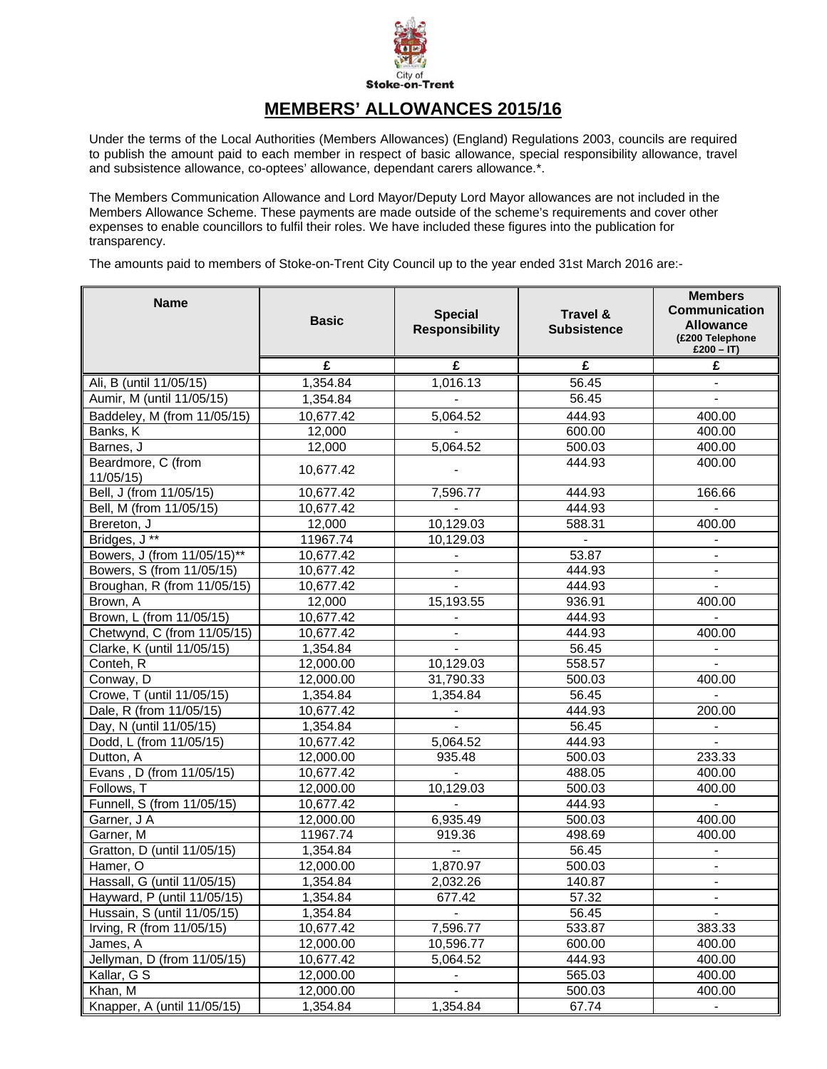

## **MEMBERS' ALLOWANCES 2015/16**

Under the terms of the Local Authorities (Members Allowances) (England) Regulations 2003, councils are required to publish the amount paid to each member in respect of basic allowance, special responsibility allowance, travel and subsistence allowance, co-optees' allowance, dependant carers allowance.\*.

The Members Communication Allowance and Lord Mayor/Deputy Lord Mayor allowances are not included in the Members Allowance Scheme. These payments are made outside of the scheme's requirements and cover other expenses to enable councillors to fulfil their roles. We have included these figures into the publication for transparency.

The amounts paid to members of Stoke-on-Trent City Council up to the year ended 31st March 2016 are:-

| <b>Name</b>                    | <b>Basic</b> | <b>Special</b><br><b>Responsibility</b> | Travel &<br><b>Subsistence</b> | <b>Members</b><br><b>Communication</b><br><b>Allowance</b><br>(£200 Telephone<br>£200 - IT) |
|--------------------------------|--------------|-----------------------------------------|--------------------------------|---------------------------------------------------------------------------------------------|
|                                | £            | £                                       | £                              | £                                                                                           |
| Ali, B (until 11/05/15)        | 1,354.84     | 1,016.13                                | 56.45                          |                                                                                             |
| Aumir, M (until 11/05/15)      | 1,354.84     |                                         | 56.45                          |                                                                                             |
| Baddeley, M (from 11/05/15)    | 10,677.42    | 5,064.52                                | 444.93                         | 400.00                                                                                      |
| Banks, K                       | 12,000       |                                         | 600.00                         | 400.00                                                                                      |
| Barnes, J                      | 12,000       | 5,064.52                                | 500.03                         | 400.00                                                                                      |
| Beardmore, C (from<br>11/05/15 | 10,677.42    |                                         | 444.93                         | 400.00                                                                                      |
| Bell, J (from 11/05/15)        | 10,677.42    | 7,596.77                                | 444.93                         | 166.66                                                                                      |
| Bell, M (from 11/05/15)        | 10,677.42    | $\blacksquare$                          | 444.93                         |                                                                                             |
| Brereton, J                    | 12,000       | 10,129.03                               | 588.31                         | 400.00                                                                                      |
| Bridges, J**                   | 11967.74     | 10,129.03                               | $\blacksquare$                 | $\blacksquare$                                                                              |
| Bowers, J (from 11/05/15)**    | 10,677.42    |                                         | 53.87                          | $\blacksquare$                                                                              |
| Bowers, S (from 11/05/15)      | 10,677.42    | $\overline{\phantom{a}}$                | 444.93                         | $\blacksquare$                                                                              |
| Broughan, R (from 11/05/15)    | 10,677.42    |                                         | 444.93                         |                                                                                             |
| Brown, A                       | 12,000       | 15,193.55                               | 936.91                         | 400.00                                                                                      |
| Brown, L (from 11/05/15)       | 10,677.42    |                                         | 444.93                         |                                                                                             |
| Chetwynd, C (from 11/05/15)    | 10,677.42    | $\blacksquare$                          | 444.93                         | 400.00                                                                                      |
| Clarke, K (until 11/05/15)     | 1,354.84     |                                         | 56.45                          | $\blacksquare$                                                                              |
| Conteh, R                      | 12,000.00    | 10,129.03                               | 558.57                         |                                                                                             |
| Conway, D                      | 12,000.00    | 31,790.33                               | 500.03                         | 400.00                                                                                      |
| Crowe, T (until 11/05/15)      | 1,354.84     | 1,354.84                                | 56.45                          | $\mathbf{r}$                                                                                |
| Dale, R (from 11/05/15)        | 10,677.42    | $\blacksquare$                          | 444.93                         | 200.00                                                                                      |
| Day, N (until 11/05/15)        | 1,354.84     | $\blacksquare$                          | 56.45                          | $\blacksquare$                                                                              |
| Dodd, L (from 11/05/15)        | 10,677.42    | 5,064.52                                | 444.93                         | $\blacksquare$                                                                              |
| Dutton, A                      | 12,000.00    | 935.48                                  | 500.03                         | 233.33                                                                                      |
| Evans, D (from 11/05/15)       | 10,677.42    |                                         | 488.05                         | 400.00                                                                                      |
| Follows, T                     | 12,000.00    | 10,129.03                               | 500.03                         | 400.00                                                                                      |
| Funnell, S (from 11/05/15)     | 10,677.42    | $\blacksquare$                          | 444.93                         | $\blacksquare$                                                                              |
| Garner, J A                    | 12,000.00    | 6,935.49                                | 500.03                         | 400.00                                                                                      |
| Garner, M                      | 11967.74     | 919.36                                  | 498.69                         | 400.00                                                                                      |
| Gratton, D (until 11/05/15)    | 1,354.84     | $\overline{\phantom{a}}$                | 56.45                          |                                                                                             |
| Hamer, O                       | 12,000.00    | 1,870.97                                | 500.03                         |                                                                                             |
| Hassall, G (until 11/05/15)    | 1,354.84     | 2,032.26                                | 140.87                         |                                                                                             |
| Hayward, P (until 11/05/15)    | 1,354.84     | 677.42                                  | 57.32                          |                                                                                             |
| Hussain, S (until 11/05/15)    | 1,354.84     | $\overline{\phantom{a}}$                | 56.45                          |                                                                                             |
| Irving, R (from 11/05/15)      | 10,677.42    | 7,596.77                                | 533.87                         | 383.33                                                                                      |
| James, A                       | 12,000.00    | 10,596.77                               | 600.00                         | 400.00                                                                                      |
| Jellyman, D (from 11/05/15)    | 10,677.42    | 5,064.52                                | 444.93                         | 400.00                                                                                      |
| Kallar, G S                    | 12,000.00    | $\blacksquare$                          | 565.03                         | 400.00                                                                                      |
| Khan, M                        | 12,000.00    | $\overline{\phantom{a}}$                | 500.03                         | 400.00                                                                                      |
| Knapper, A (until 11/05/15)    | 1,354.84     | 1,354.84                                | 67.74                          |                                                                                             |